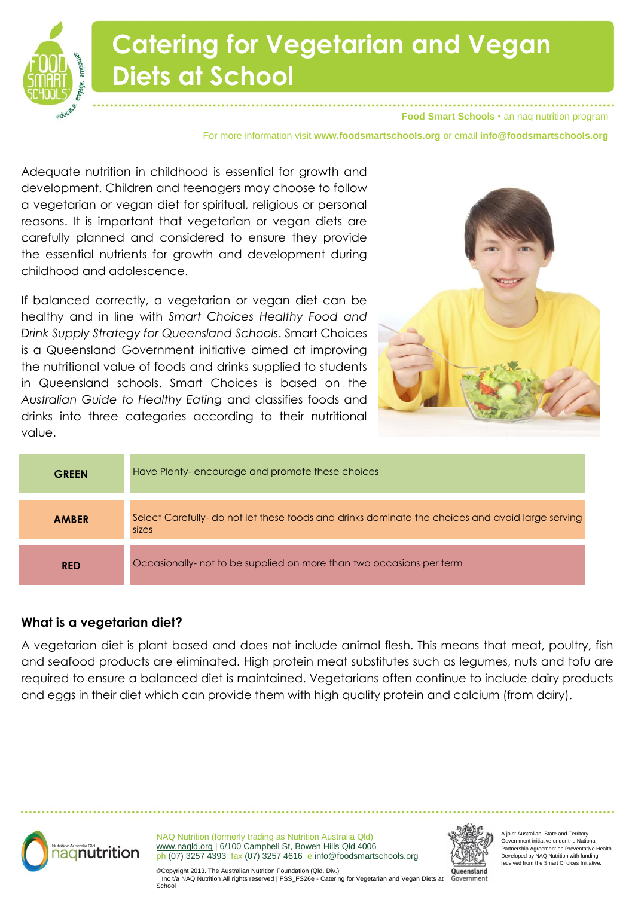

**Food Smart Schools** • an naq nutrition program

For more information visit **www.foodsmartschools.org** or email **info@foodsmartschools.org**

Adequate nutrition in childhood is essential for growth and development. Children and teenagers may choose to follow a vegetarian or vegan diet for spiritual, religious or personal reasons. It is important that vegetarian or vegan diets are carefully planned and considered to ensure they provide the essential nutrients for growth and development during childhood and adolescence.

If balanced correctly, a vegetarian or vegan diet can be healthy and in line with *Smart Choices Healthy Food and Drink Supply Strategy for Queensland Schools*. Smart Choices is a Queensland Government initiative aimed at improving the nutritional value of foods and drinks supplied to students in Queensland schools. Smart Choices is based on the *Australian Guide to Healthy Eating* and classifies foods and drinks into three categories according to their nutritional value.



| <b>GREEN</b> | Have Plenty-encourage and promote these choices                                                           |  |
|--------------|-----------------------------------------------------------------------------------------------------------|--|
| <b>AMBER</b> | Select Carefully- do not let these foods and drinks dominate the choices and avoid large serving<br>sizes |  |
| <b>RED</b>   | Occasionally- not to be supplied on more than two occasions per term                                      |  |

#### **What is a vegetarian diet?**

A vegetarian diet is plant based and does not include animal flesh. This means that meat, poultry, fish and seafood products are eliminated. High protein meat substitutes such as legumes, nuts and tofu are required to ensure a balanced diet is maintained. Vegetarians often continue to include dairy products and eggs in their diet which can provide them with high quality protein and calcium (from dairy).



NAQ Nutrition (formerly trading as Nutrition Australia Qld) www.naqld.org | 6/100 Campbell St, Bowen Hills Qld 4006 ph (07) 3257 4393 fax (07) 3257 4616 e info@foodsmartschools.org



ioint Australian, State and Territory Government initiative under the National Partnership Agreement on Preventative Health. Developed by NAQ Nutrition with funding received from the Smart Choices Initiative.

©Copyright 2013. The Australian Nutrition Foundation (Qld. Div.) Inc t/a NAQ Nutrition All rights reserved | FSS\_FS26e - Catering for Vegetarian and Vegan Diets at Government School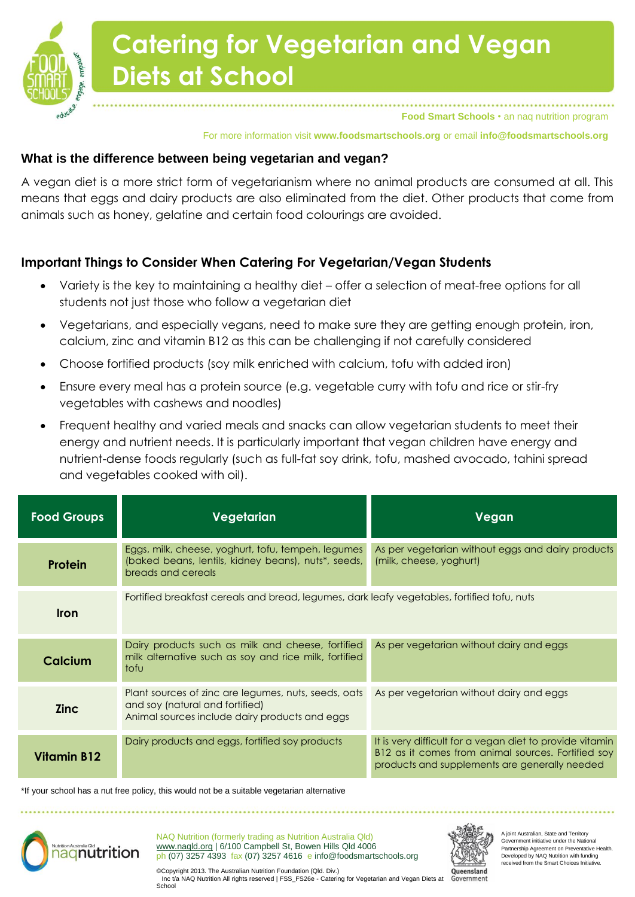

## **Catering for Vegetarian and Vegan Diets at School**

**Food Smart Schools** • an naq nutrition program

For more information visit **www.foodsmartschools.org** or email **info@foodsmartschools.org**

### **What is the difference between being vegetarian and vegan?**

A vegan diet is a more strict form of vegetarianism where no animal products are consumed at all. This means that eggs and dairy products are also eliminated from the diet. Other products that come from animals such as honey, gelatine and certain food colourings are avoided.

### **Important Things to Consider When Catering For Vegetarian/Vegan Students**

- Variety is the key to maintaining a healthy diet offer a selection of meat-free options for all students not just those who follow a vegetarian diet
- Vegetarians, and especially vegans, need to make sure they are getting enough protein, iron, calcium, zinc and vitamin B12 as this can be challenging if not carefully considered
- Choose fortified products (soy milk enriched with calcium, tofu with added iron)
- Ensure every meal has a protein source (e.g. vegetable curry with tofu and rice or stir-fry vegetables with cashews and noodles)
- Frequent healthy and varied meals and snacks can allow vegetarian students to meet their energy and nutrient needs. It is particularly important that vegan children have energy and nutrient-dense foods regularly (such as full-fat soy drink, tofu, mashed avocado, tahini spread and vegetables cooked with oil).

| <b>Food Groups</b> | Vegetarian                                                                                                                                | Vegan                                                                                                                                                           |  |
|--------------------|-------------------------------------------------------------------------------------------------------------------------------------------|-----------------------------------------------------------------------------------------------------------------------------------------------------------------|--|
| <b>Protein</b>     | Eggs, milk, cheese, yoghurt, tofu, tempeh, legumes<br>(baked beans, lentils, kidney beans), nuts*, seeds,<br>breads and cereals           | As per vegetarian without eggs and dairy products<br>(milk, cheese, yoghurt)                                                                                    |  |
| <b>Iron</b>        | Fortified breakfast cereals and bread, legumes, dark leafy vegetables, fortified tofu, nuts                                               |                                                                                                                                                                 |  |
| Calcium            | Dairy products such as milk and cheese, fortified<br>milk alternative such as soy and rice milk, fortified<br>tofu                        | As per vegetarian without dairy and eggs                                                                                                                        |  |
| <b>Zinc</b>        | Plant sources of zinc are legumes, nuts, seeds, oats<br>and soy (natural and fortified)<br>Animal sources include dairy products and eggs | As per vegetarian without dairy and eggs                                                                                                                        |  |
| <b>Vitamin B12</b> | Dairy products and eggs, fortified soy products                                                                                           | It is very difficult for a vegan diet to provide vitamin<br>B12 as it comes from animal sources. Fortified soy<br>products and supplements are generally needed |  |

\*If your school has a nut free policy, this would not be a suitable vegetarian alternative



NAQ Nutrition (formerly trading as Nutrition Australia Qld) www.naqld.org | 6/100 Campbell St, Bowen Hills Qld 4006 ph (07) 3257 4393 fax (07) 3257 4616 e info@foodsmartschools.org



A joint Australian, State and Territory Government initiative under the National Partnership Agreement on Preventative Health. Developed by NAQ Nutrition with funding received from the Smart Choices Initiative.

©Copyright 2013. The Australian Nutrition Foundation (Qld. Div.) Inc t/a NAQ Nutrition All rights reserved | FSS\_FS26e - Catering for Vegetarian and Vegan Diets at Government School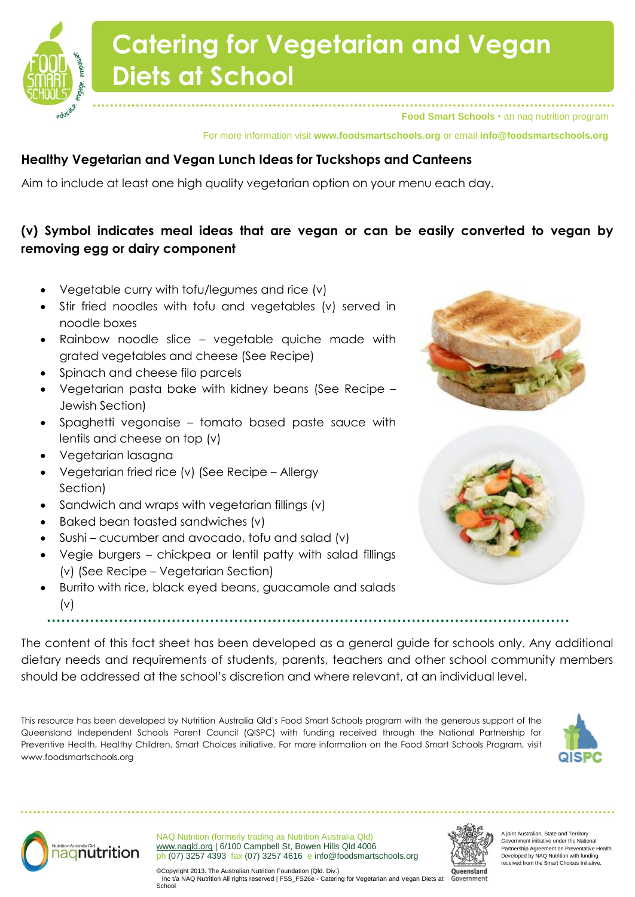# **Catering for Vegetarian and Vegan Diets at School**

**Food Smart Schools** • an naq nutrition program

For more information visit **www.foodsmartschools.org** or email **info@foodsmartschools.org**

### **Healthy Vegetarian and Vegan Lunch Ideas for Tuckshops and Canteens**

Aim to include at least one high quality vegetarian option on your menu each day.

### **(v) Symbol indicates meal ideas that are vegan or can be easily converted to vegan by removing egg or dairy component**

- Vegetable curry with tofu/legumes and rice (v)
- Stir fried noodles with tofu and vegetables (v) served in noodle boxes
- Rainbow noodle slice vegetable quiche made with grated vegetables and cheese (See Recipe)
- Spinach and cheese filo parcels
- Vegetarian pasta bake with kidney beans (See Recipe Jewish Section)
- Spaghetti vegonaise tomato based paste sauce with lentils and cheese on top (v)
- Vegetarian lasagna
- Vegetarian fried rice (v) (See Recipe Allergy Section)
- Sandwich and wraps with vegetarian fillings (v)
- Baked bean toasted sandwiches (v)
- Sushi cucumber and avocado, tofu and salad (v)
- Vegie burgers chickpea or lentil patty with salad fillings (v) (See Recipe – Vegetarian Section)
- Burrito with rice, black eyed beans, guacamole and salads  $(v)$



The content of this fact sheet has been developed as a general guide for schools only. Any additional dietary needs and requirements of students, parents, teachers and other school community members should be addressed at the school's discretion and where relevant, at an individual level.

This resource has been developed by Nutrition Australia Qld's Food Smart Schools program with the generous support of the Queensland Independent Schools Parent Council (QISPC) with funding received through the National Partnership for Preventive Health, Healthy Children, Smart Choices initiative. For more information on the Food Smart Schools Program, visit www.foodsmartschools.org





NAQ Nutrition (formerly trading as Nutrition Australia Qld) www.naqld.org | 6/100 Campbell St, Bowen Hills Qld 4006 ph (07) 3257 4393 fax (07) 3257 4616 e info@foodsmartschools.org



ioint Australian, State and Territory Government initiative under the National Partnership Agreement on Preventative Health. Developed by NAQ Nutrition with funding received from the Smart Choices Initiative.

©Copyright 2013. The Australian Nutrition Foundation (Qld. Div.) Inc t/a NAQ Nutrition All rights reserved | FSS\_FS26e - Catering for Vegetarian and Vegan Diets at School